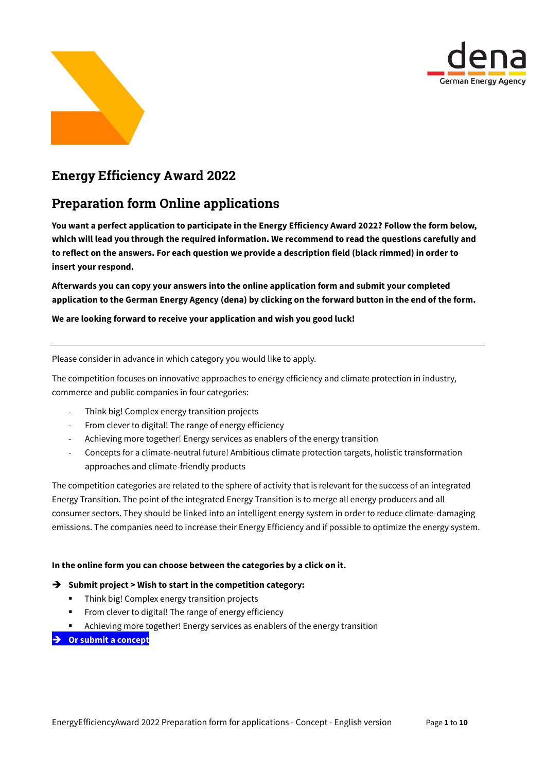



# Energy Efficiency Award 2022

# Preparation form Online applications

**You want a perfect application to participate in the Energy Efficiency Award 2022? Follow the form below, which will lead you through the required information. We recommend to read the questions carefully and to reflect on the answers. For each question we provide a description field (black rimmed) in order to insert your respond.**

**Afterwards you can copy your answers into the online application form and submit your completed application to the German Energy Agency (dena) by clicking on the forward button in the end of the form.**

**We are looking forward to receive your application and wish you good luck!**

Please consider in advance in which category you would like to apply.

The competition focuses on innovative approaches to energy efficiency and climate protection in industry, commerce and public companies in four categories:

- Think big! Complex energy transition projects
- From clever to digital! The range of energy efficiency
- Achieving more together! Energy services as enablers of the energy transition
- Concepts for a climate-neutral future! Ambitious climate protection targets, holistic transformation approaches and climate-friendly products

The competition categories are related to the sphere of activity that is relevant for the success of an integrated Energy Transition. The point of the integrated Energy Transition is to merge all energy producers and all consumer sectors. They should be linked into an intelligent energy system in order to reduce climate-damaging emissions. The companies need to increase their Energy Efficiency and if possible to optimize the energy system.

### **In the online form you can choose between the categories by a click on it.**

### **Submit project > Wish to start in the competition category:**

- Think big! Complex energy transition projects
- From clever to digital! The range of energy efficiency
- Achieving more together! Energy services as enablers of the energy transition
- **Or submit a concept**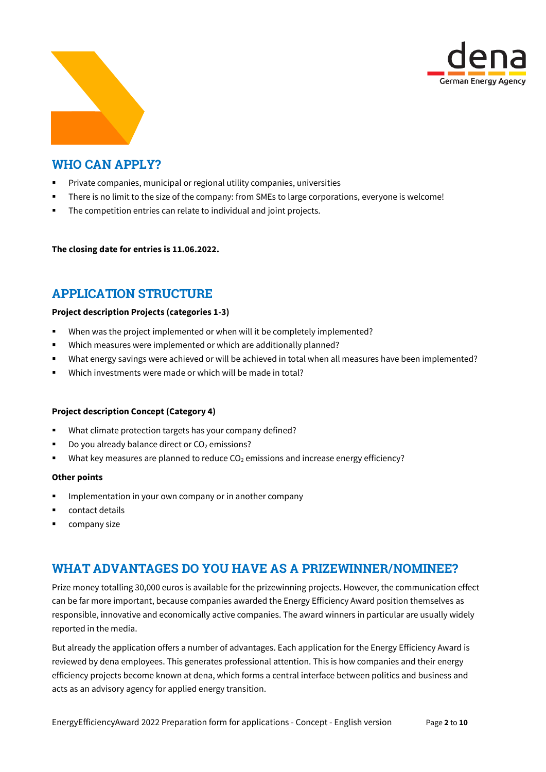



## WHO CAN APPLY?

- Private companies, municipal or regional utility companies, universities
- There is no limit to the size of the company: from SMEs to large corporations, everyone is welcome!
- **The competition entries can relate to individual and joint projects.**

**The closing date for entries is 11.06.2022.**

## APPLICATION STRUCTURE

### **Project description Projects (categories 1-3)**

- When was the project implemented or when will it be completely implemented?
- Which measures were implemented or which are additionally planned?
- What energy savings were achieved or will be achieved in total when all measures have been implemented?
- Which investments were made or which will be made in total?

#### **Project description Concept (Category 4)**

- What climate protection targets has your company defined?
- Do you already balance direct or  $CO<sub>2</sub>$  emissions?
- What key measures are planned to reduce  $CO<sub>2</sub>$  emissions and increase energy efficiency?

#### **Other points**

- **IMP** Implementation in your own company or in another company
- **•** contact details
- company size

## WHAT ADVANTAGES DO YOU HAVE AS A PRIZEWINNER/NOMINEE?

Prize money totalling 30,000 euros is available for the prizewinning projects. However, the communication effect can be far more important, because companies awarded the Energy Efficiency Award position themselves as responsible, innovative and economically active companies. The award winners in particular are usually widely reported in the media.

But already the application offers a number of advantages. Each application for the Energy Efficiency Award is reviewed by dena employees. This generates professional attention. This is how companies and their energy efficiency projects become known at dena, which forms a central interface between politics and business and acts as an advisory agency for applied energy transition.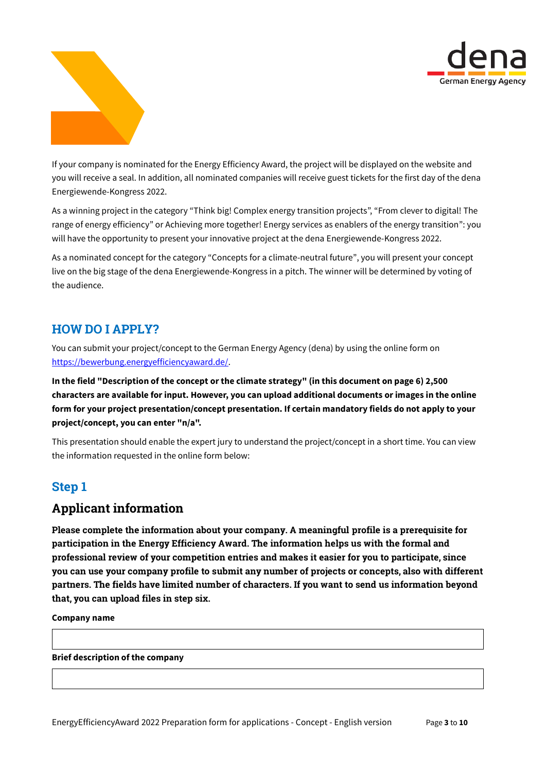



If your company is nominated for the Energy Efficiency Award, the project will be displayed on the website and you will receive a seal. In addition, all nominated companies will receive guest tickets for the first day of the dena Energiewende-Kongress 2022.

As a winning project in the category "Think big! Complex energy transition projects", "From clever to digital! The range of energy efficiency" or Achieving more together! Energy services as enablers of the energy transition": you will have the opportunity to present your innovative project at the dena Energiewende-Kongress 2022.

As a nominated concept for the category "Concepts for a climate-neutral future", you will present your concept live on the big stage of the dena Energiewende-Kongress in a pitch. The winner will be determined by voting of the audience.

### HOW DO I APPLY?

You can submit your project/concept to the German Energy Agency (dena) by using the online form on [https://bewerbung.energyefficiencyaward.de/.](https://bewerbung.energyefficiencyaward.de/)

**In the field "Description of the concept or the climate strategy" (in this document on page 6) 2,500 characters are available for input. However, you can upload additional documents or images in the online form for your project presentation/concept presentation. If certain mandatory fields do not apply to your project/concept, you can enter "n/a".** 

This presentation should enable the expert jury to understand the project/concept in a short time. You can view the information requested in the online form below:

# Step 1

## Applicant information

Please complete the information about your company. A meaningful profile is a prerequisite for participation in the Energy Efficiency Award. The information helps us with the formal and professional review of your competition entries and makes it easier for you to participate, since you can use your company profile to submit any number of projects or concepts, also with different partners. The fields have limited number of characters. If you want to send us information beyond that, you can upload files in step six.

**Company name**

**Brief description of the company**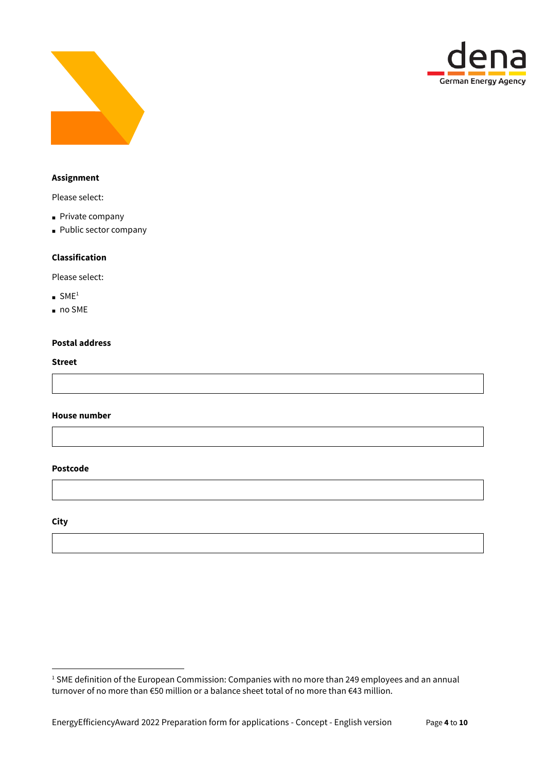



### **Assignment**

Please select:

- Private company
- **Public sector company**

### **Classification**

Please select:

- $SME<sup>1</sup>$
- no SME

### **Postal address**

#### **Street**

**House number**

### **Postcode**

**City**

1

<sup>&</sup>lt;sup>1</sup> SME definition of the European Commission: Companies with no more than 249 employees and an annual turnover of no more than €50 million or a balance sheet total of no more than €43 million.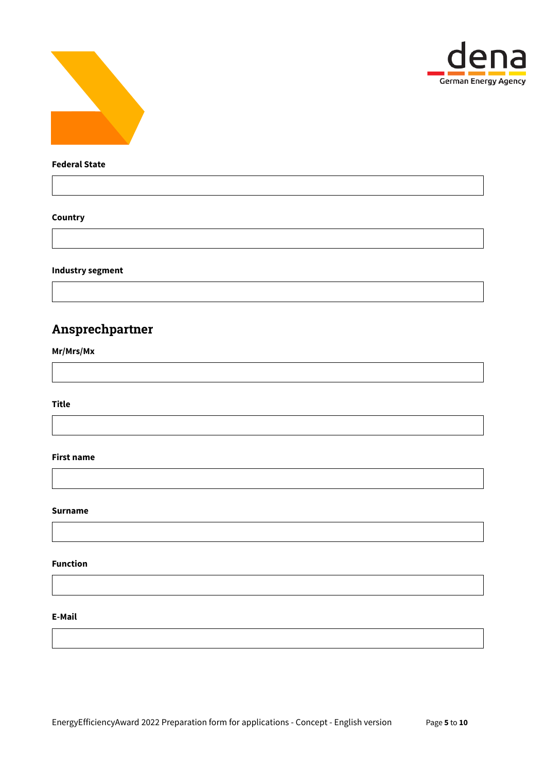



### **Federal State**

### **Country**

**Industry segment**

# Ansprechpartner

**Mr/Mrs/Mx**

**Title**

### **First name**

### **Surname**

#### **Function**

### **E-Mail**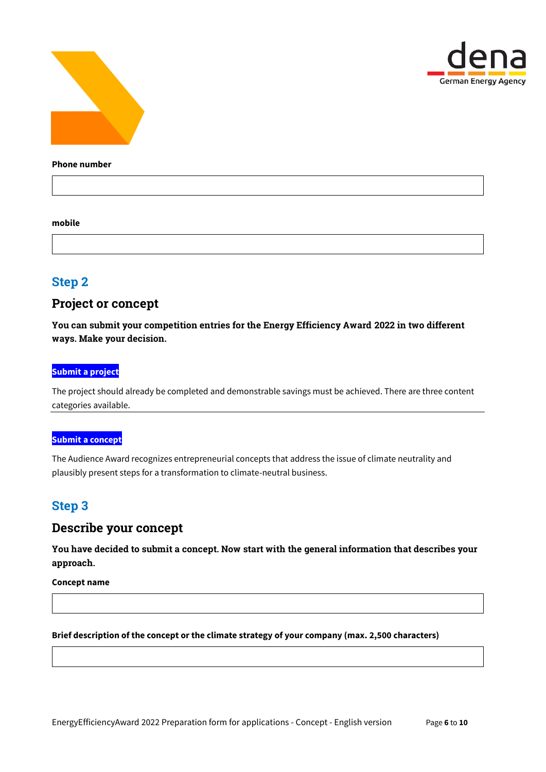



#### **Phone number**

#### **mobile**

## Step 2

### Project or concept

You can submit your competition entries for the Energy Efficiency Award 2022 in two different ways. Make your decision.

### **Submit a project**

The project should already be completed and demonstrable savings must be achieved. There are three content categories available.

### **Submit a concept**

The Audience Award recognizes entrepreneurial concepts that address the issue of climate neutrality and plausibly present steps for a transformation to climate-neutral business.

## Step 3

### Describe your concept

You have decided to submit a concept. Now start with the general information that describes your approach.

**Concept name**

### **Brief description of the concept or the climate strategy of your company (max. 2,500 characters)**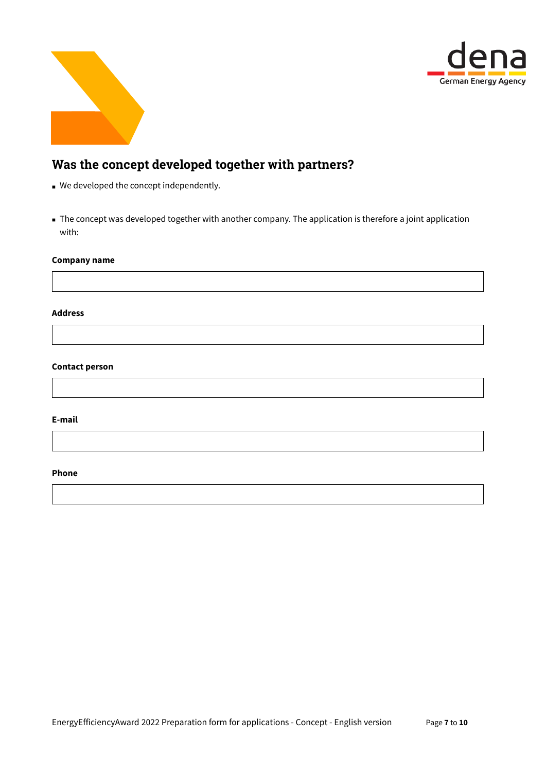



# Was the concept developed together with partners?

- We developed the concept independently.
- The concept was developed together with another company. The application is therefore a joint application with:

### **Company name**

#### **Address**

### **Contact person**

#### **E-mail**

### **Phone**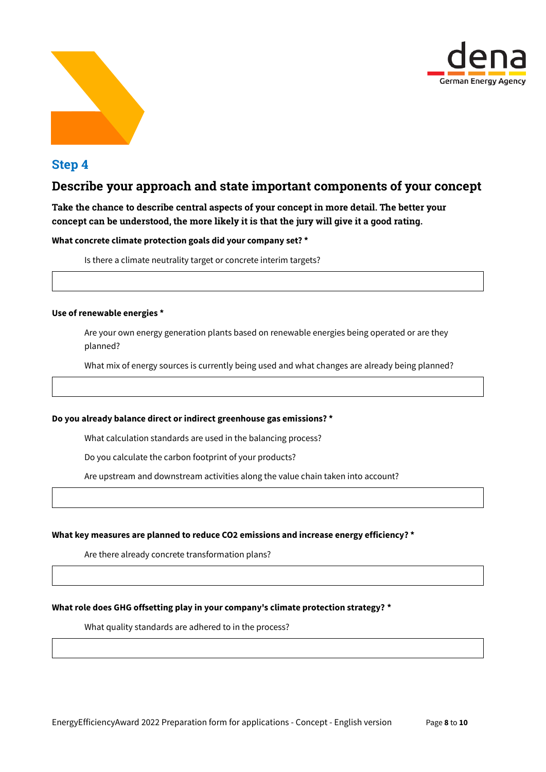



## Step 4

### Describe your approach and state important components of your concept

### Take the chance to describe central aspects of your concept in more detail. The better your concept can be understood, the more likely it is that the jury will give it a good rating.

### **What concrete climate protection goals did your company set? \***

Is there a climate neutrality target or concrete interim targets?

#### **Use of renewable energies \***

Are your own energy generation plants based on renewable energies being operated or are they planned?

What mix of energy sources is currently being used and what changes are already being planned?

#### **Do you already balance direct or indirect greenhouse gas emissions? \***

What calculation standards are used in the balancing process?

Do you calculate the carbon footprint of your products?

Are upstream and downstream activities along the value chain taken into account?

#### **What key measures are planned to reduce CO2 emissions and increase energy efficiency? \***

Are there already concrete transformation plans?

### **What role does GHG offsetting play in your company's climate protection strategy? \***

What quality standards are adhered to in the process?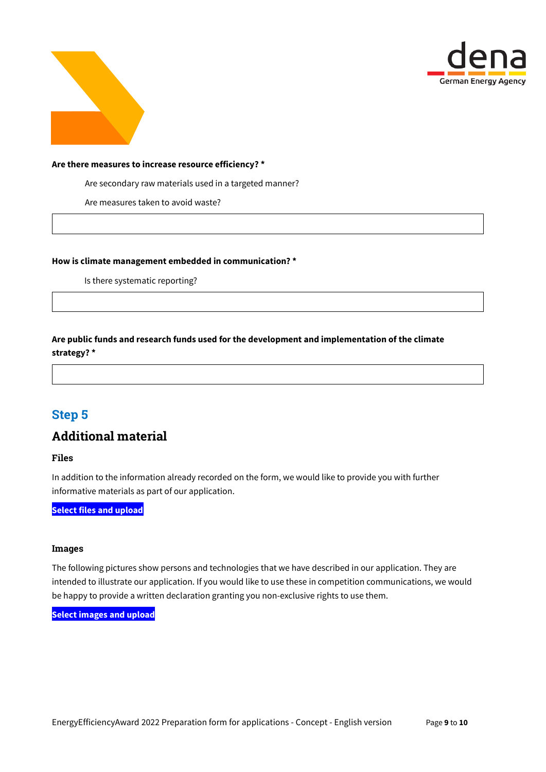



#### **Are there measures to increase resource efficiency? \***

Are secondary raw materials used in a targeted manner?

Are measures taken to avoid waste?

**How is climate management embedded in communication? \***

Is there systematic reporting?

**Are public funds and research funds used for the development and implementation of the climate strategy? \***

# Step 5

## Additional material

### Files

In addition to the information already recorded on the form, we would like to provide you with further informative materials as part of our application.

**Select files and upload**

#### Images

The following pictures show persons and technologies that we have described in our application. They are intended to illustrate our application. If you would like to use these in competition communications, we would be happy to provide a written declaration granting you non-exclusive rights to use them.

**Select images and upload**